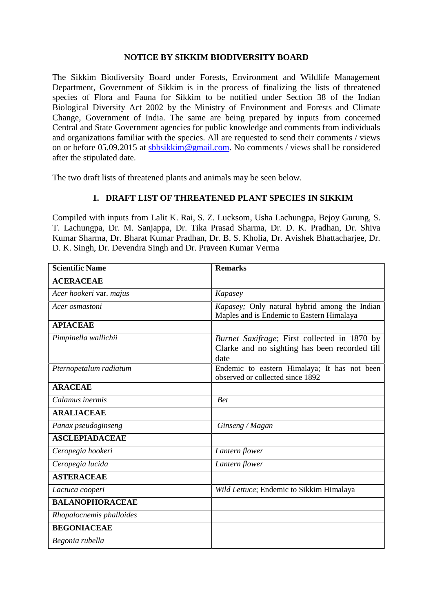## **NOTICE BY SIKKIM BIODIVERSITY BOARD**

The Sikkim Biodiversity Board under Forests, Environment and Wildlife Management Department, Government of Sikkim is in the process of finalizing the lists of threatened species of Flora and Fauna for Sikkim to be notified under Section 38 of the Indian Biological Diversity Act 2002 by the Ministry of Environment and Forests and Climate Change, Government of India. The same are being prepared by inputs from concerned Central and State Government agencies for public knowledge and comments from individuals and organizations familiar with the species. All are requested to send their comments / views on or before 05.09.2015 at sbbsikkim@gmail.com. No comments / views shall be considered after the stipulated date.

The two draft lists of threatened plants and animals may be seen below.

## **1. DRAFT LIST OF THREATENED PLANT SPECIES IN SIKKIM**

Compiled with inputs from Lalit K. Rai, S. Z. Lucksom, Usha Lachungpa, Bejoy Gurung, S. T. Lachungpa, Dr. M. Sanjappa, Dr. Tika Prasad Sharma, Dr. D. K. Pradhan, Dr. Shiva Kumar Sharma, Dr. Bharat Kumar Pradhan, Dr. B. S. Kholia, Dr. Avishek Bhattacharjee, Dr. D. K. Singh, Dr. Devendra Singh and Dr. Praveen Kumar Verma

| <b>Scientific Name</b>   | <b>Remarks</b>                                                                                        |
|--------------------------|-------------------------------------------------------------------------------------------------------|
| <b>ACERACEAE</b>         |                                                                                                       |
| Acer hookeri var. majus  | Kapasey                                                                                               |
| Acer osmastoni           | Kapasey; Only natural hybrid among the Indian<br>Maples and is Endemic to Eastern Himalaya            |
| <b>APIACEAE</b>          |                                                                                                       |
| Pimpinella wallichii     | Burnet Saxifrage; First collected in 1870 by<br>Clarke and no sighting has been recorded till<br>date |
| Pternopetalum radiatum   | Endemic to eastern Himalaya; It has not been<br>observed or collected since 1892                      |
| <b>ARACEAE</b>           |                                                                                                       |
| Calamus inermis          | <b>Bet</b>                                                                                            |
| <b>ARALIACEAE</b>        |                                                                                                       |
| Panax pseudoginseng      | Ginseng / Magan                                                                                       |
| <b>ASCLEPIADACEAE</b>    |                                                                                                       |
| Ceropegia hookeri        | Lantern flower                                                                                        |
| Ceropegia lucida         | Lantern flower                                                                                        |
| <b>ASTERACEAE</b>        |                                                                                                       |
| Lactuca cooperi          | Wild Lettuce; Endemic to Sikkim Himalaya                                                              |
| <b>BALANOPHORACEAE</b>   |                                                                                                       |
| Rhopalocnemis phalloides |                                                                                                       |
| <b>BEGONIACEAE</b>       |                                                                                                       |
| Begonia rubella          |                                                                                                       |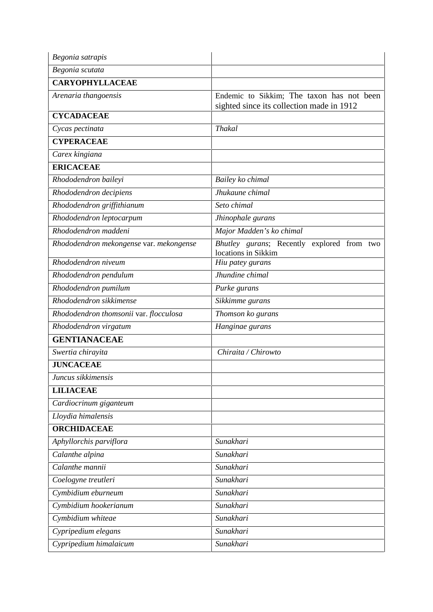| Begonia satrapis                        |                                                                                        |
|-----------------------------------------|----------------------------------------------------------------------------------------|
| Begonia scutata                         |                                                                                        |
| <b>CARYOPHYLLACEAE</b>                  |                                                                                        |
| Arenaria thangoensis                    | Endemic to Sikkim; The taxon has not been<br>sighted since its collection made in 1912 |
| <b>CYCADACEAE</b>                       |                                                                                        |
| Cycas pectinata                         | <b>Thakal</b>                                                                          |
| <b>CYPERACEAE</b>                       |                                                                                        |
| Carex kingiana                          |                                                                                        |
| <b>ERICACEAE</b>                        |                                                                                        |
| Rhododendron baileyi                    | Bailey ko chimal                                                                       |
| Rhododendron decipiens                  | Jhukaune chimal                                                                        |
| Rhododendron griffithianum              | Seto chimal                                                                            |
| Rhododendron leptocarpum                | Jhinophale gurans                                                                      |
| Rhododendron maddeni                    | Major Madden's ko chimal                                                               |
| Rhododendron mekongense var. mekongense | Bhutley gurans; Recently explored from two<br>locations in Sikkim                      |
| Rhododendron niveum                     | Hiu patey gurans                                                                       |
| Rhododendron pendulum                   | Jhundine chimal                                                                        |
| Rhododendron pumilum                    | Purke gurans                                                                           |
| Rhododendron sikkimense                 | Sikkimme gurans                                                                        |
| Rhododendron thomsonii var. flocculosa  | Thomson ko gurans                                                                      |
| Rhododendron virgatum                   | Hanginae gurans                                                                        |
| <b>GENTIANACEAE</b>                     |                                                                                        |
| Swertia chirayita                       | Chiraita / Chirowto                                                                    |
| <b>JUNCACEAE</b>                        |                                                                                        |
| Juncus sikkimensis                      |                                                                                        |
| <b>LILIACEAE</b>                        |                                                                                        |
| Cardiocrinum giganteum                  |                                                                                        |
| Lloydia himalensis                      |                                                                                        |
| <b>ORCHIDACEAE</b>                      |                                                                                        |
| Aphyllorchis parviflora                 | Sunakhari                                                                              |
| Calanthe alpina                         | Sunakhari                                                                              |
| Calanthe mannii                         | Sunakhari                                                                              |
| Coelogyne treutleri                     | Sunakhari                                                                              |
| Cymbidium eburneum                      | Sunakhari                                                                              |
| Cymbidium hookerianum                   | Sunakhari                                                                              |
| Cymbidium whiteae                       | Sunakhari                                                                              |
| Cypripedium elegans                     | Sunakhari                                                                              |
| Cypripedium himalaicum                  | Sunakhari                                                                              |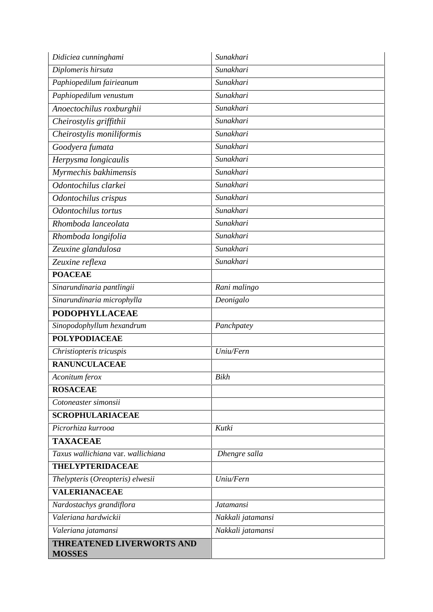| Didiciea cunninghami                              | Sunakhari         |
|---------------------------------------------------|-------------------|
| Diplomeris hirsuta                                | Sunakhari         |
| Paphiopedilum fairieanum                          | Sunakhari         |
| Paphiopedilum venustum                            | Sunakhari         |
| Anoectochilus roxburghii                          | Sunakhari         |
| Cheirostylis griffithii                           | Sunakhari         |
| Cheirostylis moniliformis                         | Sunakhari         |
| Goodyera fumata                                   | Sunakhari         |
| Herpysma longicaulis                              | Sunakhari         |
| Myrmechis bakhimensis                             | Sunakhari         |
| Odontochilus clarkei                              | Sunakhari         |
| Odontochilus crispus                              | Sunakhari         |
| Odontochilus tortus                               | Sunakhari         |
| Rhomboda lanceolata                               | Sunakhari         |
| Rhomboda longifolia                               | Sunakhari         |
| Zeuxine glandulosa                                | Sunakhari         |
| Zeuxine reflexa                                   | Sunakhari         |
| <b>POACEAE</b>                                    |                   |
| Sinarundinaria pantlingii                         | Rani malingo      |
| Sinarundinaria microphylla                        | Deonigalo         |
| <b>PODOPHYLLACEAE</b>                             |                   |
| Sinopodophyllum hexandrum                         | Panchpatey        |
| <b>POLYPODIACEAE</b>                              |                   |
| Christiopteris tricuspis                          | Uniu/Fern         |
| <b>RANUNCULACEAE</b>                              |                   |
| Aconitum ferox                                    | <b>Bikh</b>       |
| <b>ROSACEAE</b>                                   |                   |
| Cotoneaster simonsii                              |                   |
| <b>SCROPHULARIACEAE</b>                           |                   |
| Picrorhiza kurrooa                                | Kutki             |
| <b>TAXACEAE</b>                                   |                   |
| Taxus wallichiana var. wallichiana                | Dhengre salla     |
| <b>THELYPTERIDACEAE</b>                           |                   |
| Thelypteris (Oreopteris) elwesii                  | Uniu/Fern         |
| <b>VALERIANACEAE</b>                              |                   |
| Nardostachys grandiflora                          | <b>Jatamansi</b>  |
| Valeriana hardwickii                              | Nakkali jatamansi |
| Valeriana jatamansi                               | Nakkali jatamansi |
| <b>THREATENED LIVERWORTS AND</b><br><b>MOSSES</b> |                   |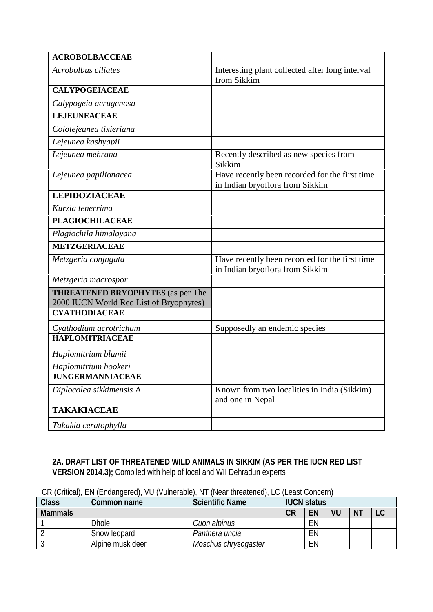| <b>ACROBOLBACCEAE</b>                                                                                       |                                                                                   |
|-------------------------------------------------------------------------------------------------------------|-----------------------------------------------------------------------------------|
| Acrobolbus ciliates                                                                                         | Interesting plant collected after long interval<br>from Sikkim                    |
| <b>CALYPOGEIACEAE</b>                                                                                       |                                                                                   |
| Calypogeia aerugenosa                                                                                       |                                                                                   |
| <b>LEJEUNEACEAE</b>                                                                                         |                                                                                   |
| Cololejeunea tixieriana                                                                                     |                                                                                   |
| Lejeunea kashyapii                                                                                          |                                                                                   |
| Lejeunea mehrana                                                                                            | Recently described as new species from<br>Sikkim                                  |
| Lejeunea papilionacea                                                                                       | Have recently been recorded for the first time<br>in Indian bryoflora from Sikkim |
| <b>LEPIDOZIACEAE</b>                                                                                        |                                                                                   |
| Kurzia tenerrima                                                                                            |                                                                                   |
| <b>PLAGIOCHILACEAE</b>                                                                                      |                                                                                   |
| Plagiochila himalayana                                                                                      |                                                                                   |
| <b>METZGERIACEAE</b>                                                                                        |                                                                                   |
| Metzgeria conjugata                                                                                         | Have recently been recorded for the first time<br>in Indian bryoflora from Sikkim |
| Metzgeria macrospor                                                                                         |                                                                                   |
| <b>THREATENED BRYOPHYTES</b> (as per The<br>2000 IUCN World Red List of Bryophytes)<br><b>CYATHODIACEAE</b> |                                                                                   |
| Cyathodium acrotrichum                                                                                      | Supposedly an endemic species                                                     |
| <b>HAPLOMITRIACEAE</b>                                                                                      |                                                                                   |
| Haplomitrium blumii                                                                                         |                                                                                   |
| Haplomitrium hookeri                                                                                        |                                                                                   |
| <b>JUNGERMANNIACEAE</b>                                                                                     |                                                                                   |
| Diplocolea sikkimensis A                                                                                    | Known from two localities in India (Sikkim)<br>and one in Nepal                   |
| <b>TAKAKIACEAE</b>                                                                                          |                                                                                   |
| Takakia ceratophylla                                                                                        |                                                                                   |

## **2A. DRAFT LIST OF THREATENED WILD ANIMALS IN SIKKIM (AS PER THE IUCN RED LIST VERSION 2014.3);** Compiled with help of local and WII Dehradun experts

| CR (Critical), EN (Endangered), VU (Vulnerable), NT (Near threatened), LC (Least Concern) |
|-------------------------------------------------------------------------------------------|
|-------------------------------------------------------------------------------------------|

| Class          | Common name      | <b>Scientific Name</b> | <b>IUCN</b> status |    |    |                |    |
|----------------|------------------|------------------------|--------------------|----|----|----------------|----|
| <b>Mammals</b> |                  |                        | СR                 | EN | VU | N <sub>T</sub> | ∟∪ |
|                | <b>Dhole</b>     | Cuon alpinus           |                    | EN |    |                |    |
|                | Snow leopard     | Panthera uncia         |                    | EN |    |                |    |
|                | Alpine musk deer | Moschus chrysogaster   |                    | EN |    |                |    |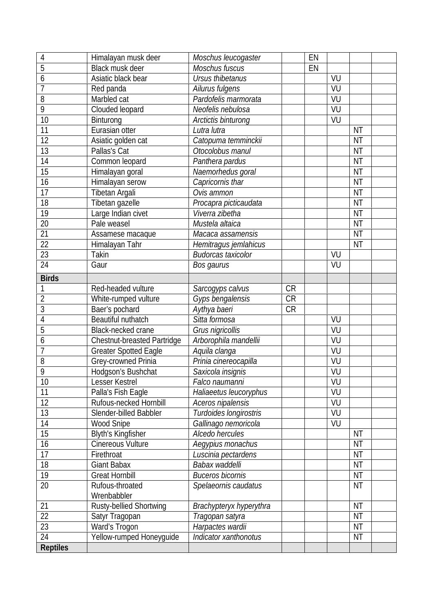| 4               | Himalayan musk deer                         | Moschus leucogaster           |           | EN |    |           |  |
|-----------------|---------------------------------------------|-------------------------------|-----------|----|----|-----------|--|
| 5               | Black musk deer                             | Moschus fuscus                |           | EN |    |           |  |
| 6               | Asiatic black bear                          | Ursus thibetanus              |           |    | VU |           |  |
| 7               | Red panda                                   | Ailurus fulgens               |           |    | VU |           |  |
| 8               | Marbled cat                                 | Pardofelis marmorata          |           |    | VU |           |  |
| 9               | Clouded leopard                             | Neofelis nebulosa             |           |    | VU |           |  |
| 10              | Binturong                                   | Arctictis binturong           |           |    | VU |           |  |
| 11              | Eurasian otter                              | Lutra lutra                   |           |    |    | <b>NT</b> |  |
| 12              | Asiatic golden cat                          | Catopuma temminckii           |           |    |    | <b>NT</b> |  |
| 13              | Pallas's Cat                                | Otocolobus manul              |           |    |    | NT        |  |
| 14              | Common leopard                              | Panthera pardus               |           |    |    | NT        |  |
| 15              | Himalayan goral                             | Naemorhedus goral             |           |    |    | NT        |  |
| 16              | Himalayan serow                             | Capricornis thar              |           |    |    | <b>NT</b> |  |
| 17              | Tibetan Argali                              | Ovis ammon                    |           |    |    | <b>NT</b> |  |
| 18              | Tibetan gazelle                             | Procapra picticaudata         |           |    |    | ΝT        |  |
| 19              | Large Indian civet                          | Viverra zibetha               |           |    |    | NT        |  |
| 20              | Pale weasel                                 | Mustela altaica               |           |    |    | NT        |  |
| 21              | Assamese macaque                            | Macaca assamensis             |           |    |    | NT        |  |
| 22              | Himalayan Tahr                              | Hemitragus jemlahicus         |           |    |    | NT        |  |
| 23              | <b>Takin</b>                                | <b>Budorcas taxicolor</b>     |           |    | VU |           |  |
| 24              | Gaur                                        | Bos gaurus                    |           |    | VU |           |  |
| <b>Birds</b>    |                                             |                               |           |    |    |           |  |
| 1               | Red-headed vulture                          |                               | <b>CR</b> |    |    |           |  |
| $\sqrt{2}$      |                                             | Sarcogyps calvus              | <b>CR</b> |    |    |           |  |
| 3               | White-rumped vulture                        | Gyps bengalensis              | <b>CR</b> |    |    |           |  |
|                 | Baer's pochard<br><b>Beautiful nuthatch</b> | Aythya baeri<br>Sitta formosa |           |    | VU |           |  |
| 4               |                                             |                               |           |    |    |           |  |
| 5               | Black-necked crane                          | Grus nigricollis              |           |    | VU |           |  |
| 6               | <b>Chestnut-breasted Partridge</b>          | Arborophila mandellii         |           |    | VU |           |  |
| $\overline{1}$  | <b>Greater Spotted Eagle</b>                | Aquila clanga                 |           |    | VU |           |  |
| 8               | Grey-crowned Prinia                         | Prinia cinereocapilla         |           |    | VU |           |  |
| 9               | Hodgson's Bushchat                          | Saxicola insignis             |           |    | VU |           |  |
| 10              | Lesser Kestrel                              | Falco naumanni                |           |    | VU |           |  |
| 11              | Palla's Fish Eagle                          | Haliaeetus leucoryphus        |           |    | VU |           |  |
| 12              | Rufous-necked Hornbill                      | Aceros nipalensis             |           |    | VU |           |  |
| 13              | Slender-billed Babbler                      | Turdoides longirostris        |           |    | VU |           |  |
| 14              | <b>Wood Snipe</b>                           | Gallinago nemoricola          |           |    | VU |           |  |
| 15              | <b>Blyth's Kingfisher</b>                   | Alcedo hercules               |           |    |    | <b>NT</b> |  |
| 16              | <b>Cinereous Vulture</b>                    | Aegypius monachus             |           |    |    | <b>NT</b> |  |
| 17              | Firethroat                                  | Luscinia pectardens           |           |    |    | <b>NT</b> |  |
| 18              | <b>Giant Babax</b>                          | Babax waddelli                |           |    |    | <b>NT</b> |  |
| 19              | <b>Great Hornbill</b>                       | <b>Buceros bicornis</b>       |           |    |    | <b>NT</b> |  |
| 20              | Rufous-throated                             | Spelaeornis caudatus          |           |    |    | <b>NT</b> |  |
|                 | Wrenbabbler                                 |                               |           |    |    |           |  |
| 21              | Rusty-bellied Shortwing                     | Brachypteryx hyperythra       |           |    |    | <b>NT</b> |  |
| 22              | Satyr Tragopan                              | Tragopan satyra               |           |    |    | <b>NT</b> |  |
| $\overline{23}$ | Ward's Trogon                               | Harpactes wardii              |           |    |    | <b>NT</b> |  |
| 24              | Yellow-rumped Honeyguide                    | Indicator xanthonotus         |           |    |    | NT        |  |
| <b>Reptiles</b> |                                             |                               |           |    |    |           |  |